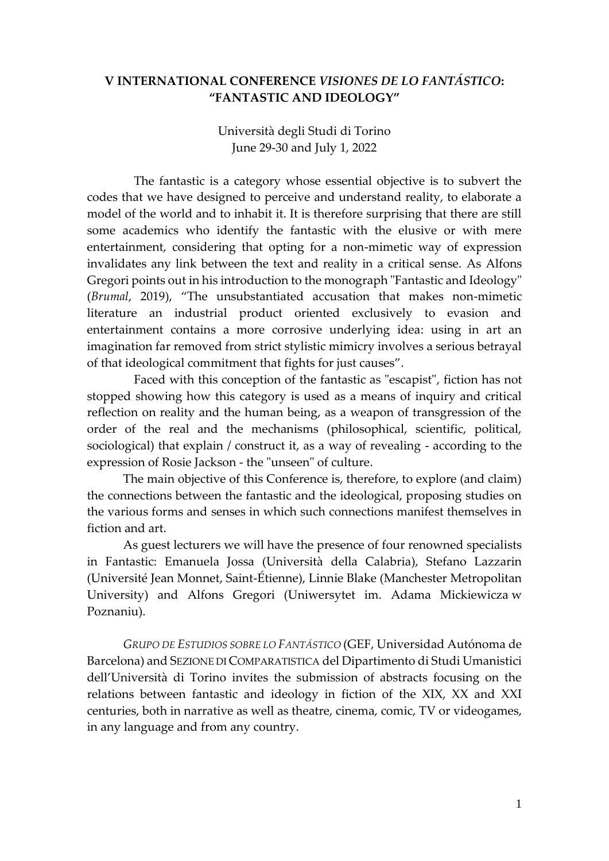# **V INTERNATIONAL CONFERENCE** *VISIONES DE LO FANTÁSTICO***: "FANTASTIC AND IDEOLOGY"**

Università degli Studi di Torino June 29-30 and July 1, 2022

The fantastic is a category whose essential objective is to subvert the codes that we have designed to perceive and understand reality, to elaborate a model of the world and to inhabit it. It is therefore surprising that there are still some academics who identify the fantastic with the elusive or with mere entertainment, considering that opting for a non-mimetic way of expression invalidates any link between the text and reality in a critical sense. As Alfons Gregori points out in his introduction to the monograph "Fantastic and Ideology" (*Brumal*, 2019), "The unsubstantiated accusation that makes non-mimetic literature an industrial product oriented exclusively to evasion and entertainment contains a more corrosive underlying idea: using in art an imagination far removed from strict stylistic mimicry involves a serious betrayal of that ideological commitment that fights for just causes".

Faced with this conception of the fantastic as "escapist", fiction has not stopped showing how this category is used as a means of inquiry and critical reflection on reality and the human being, as a weapon of transgression of the order of the real and the mechanisms (philosophical, scientific, political, sociological) that explain / construct it, as a way of revealing - according to the expression of Rosie Jackson - the "unseen" of culture.

The main objective of this Conference is, therefore, to explore (and claim) the connections between the fantastic and the ideological, proposing studies on the various forms and senses in which such connections manifest themselves in fiction and art.

As guest lecturers we will have the presence of four renowned specialists in Fantastic: Emanuela Jossa (Università della Calabria), Stefano Lazzarin (Université Jean Monnet, Saint-Étienne), Linnie Blake (Manchester Metropolitan University) and Alfons Gregori (Uniwersytet im. Adama Mickiewicza w Poznaniu).

*GRUPO DE ESTUDIOS SOBRE LO FANTÁSTICO* (GEF, Universidad Autónoma de Barcelona) and SEZIONE DI COMPARATISTICA del Dipartimento di Studi Umanistici dell'Università di Torino invites the submission of abstracts focusing on the relations between fantastic and ideology in fiction of the XIX, XX and XXI centuries, both in narrative as well as theatre, cinema, comic, TV or videogames, in any language and from any country.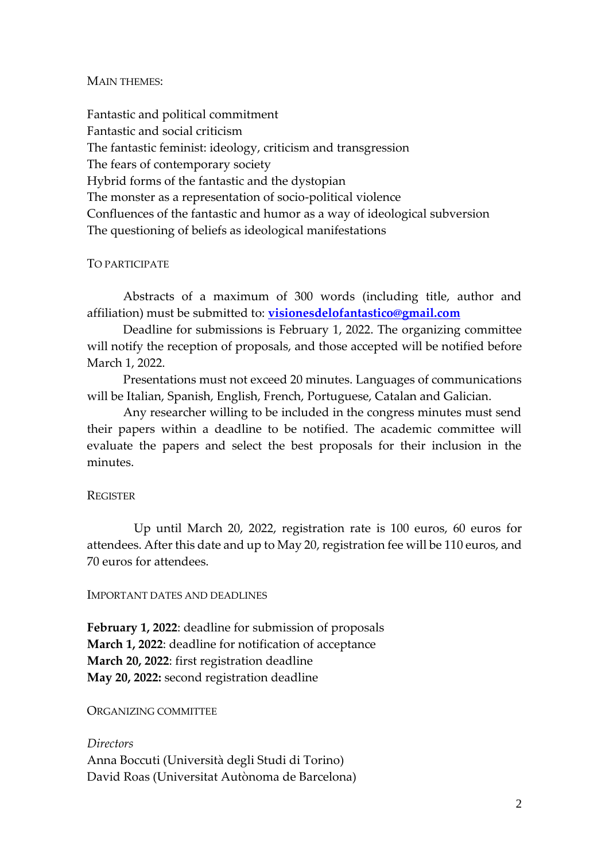#### MAIN THEMES:

Fantastic and political commitment Fantastic and social criticism The fantastic feminist: ideology, criticism and transgression The fears of contemporary society Hybrid forms of the fantastic and the dystopian The monster as a representation of socio-political violence Confluences of the fantastic and humor as a way of ideological subversion The questioning of beliefs as ideological manifestations

### TO PARTICIPATE

Abstracts of a maximum of 300 words (including title, author and affiliation) must be submitted to: **[visionesdelofantastico@gmail.com](mailto:visionesdelofantastico@gmail.com)**

Deadline for submissions is February 1, 2022. The organizing committee will notify the reception of proposals, and those accepted will be notified before March 1, 2022.

Presentations must not exceed 20 minutes. Languages of communications will be Italian, Spanish, English, French, Portuguese, Catalan and Galician.

Any researcher willing to be included in the congress minutes must send their papers within a deadline to be notified. The academic committee will evaluate the papers and select the best proposals for their inclusion in the minutes.

#### **REGISTER**

Up until March 20, 2022, registration rate is 100 euros, 60 euros for attendees. After this date and up to May 20, registration fee will be 110 euros, and 70 euros for attendees.

#### IMPORTANT DATES AND DEADLINES

**February 1, 2022**: deadline for submission of proposals **March 1, 2022**: deadline for notification of acceptance **March 20, 2022**: first registration deadline **May 20, 2022:** second registration deadline

#### ORGANIZING COMMITTEE

*Directors* Anna Boccuti (Università degli Studi di Torino) David Roas (Universitat Autònoma de Barcelona)